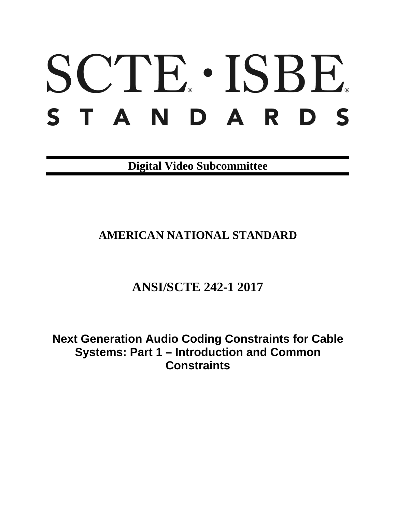# SCTE · ISBE. S T A N D A R D S

**Digital Video Subcommittee**

# **AMERICAN NATIONAL STANDARD**

# **ANSI/SCTE 242-1 2017**

**Next Generation Audio Coding Constraints for Cable Systems: Part 1 – Introduction and Common Constraints**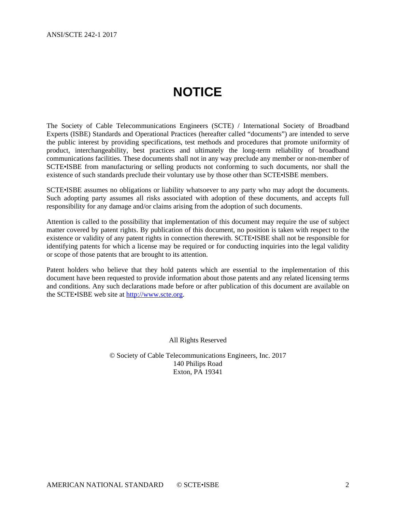# **NOTICE**

<span id="page-1-0"></span>The Society of Cable Telecommunications Engineers (SCTE) / International Society of Broadband Experts (ISBE) Standards and Operational Practices (hereafter called "documents") are intended to serve the public interest by providing specifications, test methods and procedures that promote uniformity of product, interchangeability, best practices and ultimately the long-term reliability of broadband communications facilities. These documents shall not in any way preclude any member or non-member of SCTE•ISBE from manufacturing or selling products not conforming to such documents, nor shall the existence of such standards preclude their voluntary use by those other than SCTE•ISBE members.

SCTE•ISBE assumes no obligations or liability whatsoever to any party who may adopt the documents. Such adopting party assumes all risks associated with adoption of these documents, and accepts full responsibility for any damage and/or claims arising from the adoption of such documents.

Attention is called to the possibility that implementation of this document may require the use of subject matter covered by patent rights. By publication of this document, no position is taken with respect to the existence or validity of any patent rights in connection therewith. SCTE•ISBE shall not be responsible for identifying patents for which a license may be required or for conducting inquiries into the legal validity or scope of those patents that are brought to its attention.

Patent holders who believe that they hold patents which are essential to the implementation of this document have been requested to provide information about those patents and any related licensing terms and conditions. Any such declarations made before or after publication of this document are available on the SCTE•ISBE web site at [http://www.scte.org.](http://www.scte.org/)

All Rights Reserved

© Society of Cable Telecommunications Engineers, Inc. 2017 140 Philips Road Exton, PA 19341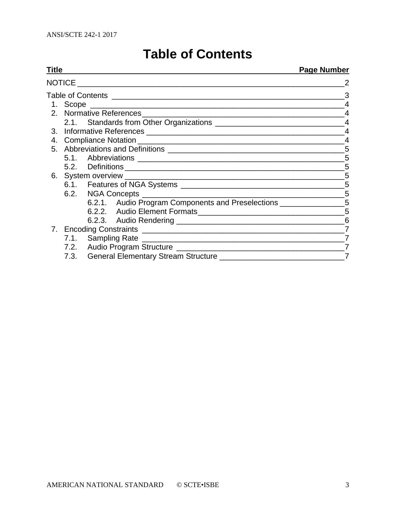# **Table of Contents**

<span id="page-2-0"></span>

| Titl <u>e</u> |                         |   |                                                                                                                                                                                                  | <b>Page Number</b> |  |
|---------------|-------------------------|---|--------------------------------------------------------------------------------------------------------------------------------------------------------------------------------------------------|--------------------|--|
|               |                         |   |                                                                                                                                                                                                  |                    |  |
|               |                         | 3 |                                                                                                                                                                                                  |                    |  |
|               |                         |   |                                                                                                                                                                                                  |                    |  |
|               | 2. Normative References |   |                                                                                                                                                                                                  |                    |  |
|               |                         |   |                                                                                                                                                                                                  |                    |  |
|               |                         |   |                                                                                                                                                                                                  |                    |  |
|               |                         |   |                                                                                                                                                                                                  |                    |  |
|               |                         |   |                                                                                                                                                                                                  |                    |  |
|               |                         |   |                                                                                                                                                                                                  | 5                  |  |
|               |                         |   |                                                                                                                                                                                                  | 5                  |  |
|               |                         |   |                                                                                                                                                                                                  | 5                  |  |
|               |                         |   |                                                                                                                                                                                                  | 5                  |  |
|               |                         |   | 6.2. NGA Concepts <b>Concerts Concepts Concerts Concerts Concerts Concerts Concerts Concerts Concerts Concerts Concerts Concerts Concerts Concerts Concerts Concerts Concerts Concerts Conce</b> | $-5$               |  |
|               |                         |   | 6.2.1. Audio Program Components and Preselections _______________________________                                                                                                                |                    |  |
|               |                         |   |                                                                                                                                                                                                  | 5                  |  |
|               |                         |   |                                                                                                                                                                                                  | 6                  |  |
|               |                         |   |                                                                                                                                                                                                  | $\overline{7}$     |  |
|               |                         |   |                                                                                                                                                                                                  |                    |  |
|               |                         |   |                                                                                                                                                                                                  | 7                  |  |
|               |                         |   |                                                                                                                                                                                                  | $\overline{7}$     |  |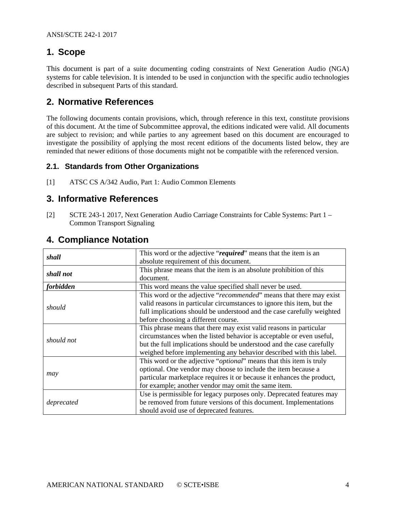# <span id="page-3-0"></span>**1. Scope**

This document is part of a suite documenting coding constraints of Next Generation Audio (NGA) systems for cable television. It is intended to be used in conjunction with the specific audio technologies described in subsequent Parts of this standard.

## <span id="page-3-1"></span>**2. Normative References**

The following documents contain provisions, which, through reference in this text, constitute provisions of this document. At the time of Subcommittee approval, the editions indicated were valid. All documents are subject to revision; and while parties to any agreement based on this document are encouraged to investigate the possibility of applying the most recent editions of the documents listed below, they are reminded that newer editions of those documents might not be compatible with the referenced version.

#### <span id="page-3-2"></span>**2.1. Standards from Other Organizations**

<span id="page-3-5"></span><span id="page-3-3"></span>[1] ATSC CS A/342 Audio, Part 1: Audio Common Elements

## **3. Informative References**

<span id="page-3-6"></span>[2] SCTE 243-1 2017, Next Generation Audio Carriage Constraints for Cable Systems: Part 1 – Common Transport Signaling

<span id="page-3-4"></span>

| shall            | This word or the adjective "required" means that the item is an                                                                               |  |  |
|------------------|-----------------------------------------------------------------------------------------------------------------------------------------------|--|--|
|                  | absolute requirement of this document.                                                                                                        |  |  |
| shall not        | This phrase means that the item is an absolute prohibition of this                                                                            |  |  |
|                  | document.                                                                                                                                     |  |  |
| <i>forbidden</i> | This word means the value specified shall never be used.                                                                                      |  |  |
| should           | This word or the adjective "recommended" means that there may exist<br>valid reasons in particular circumstances to ignore this item, but the |  |  |
|                  | full implications should be understood and the case carefully weighted<br>before choosing a different course.                                 |  |  |
|                  | This phrase means that there may exist valid reasons in particular                                                                            |  |  |
| should not       | circumstances when the listed behavior is acceptable or even useful,                                                                          |  |  |
|                  | but the full implications should be understood and the case carefully                                                                         |  |  |
|                  | weighed before implementing any behavior described with this label.                                                                           |  |  |
|                  | This word or the adjective " <i>optional</i> " means that this item is truly                                                                  |  |  |
|                  | optional. One vendor may choose to include the item because a                                                                                 |  |  |
| may              | particular marketplace requires it or because it enhances the product,                                                                        |  |  |
|                  | for example; another vendor may omit the same item.                                                                                           |  |  |
|                  | Use is permissible for legacy purposes only. Deprecated features may                                                                          |  |  |
| deprecated       | be removed from future versions of this document. Implementations                                                                             |  |  |
|                  | should avoid use of deprecated features.                                                                                                      |  |  |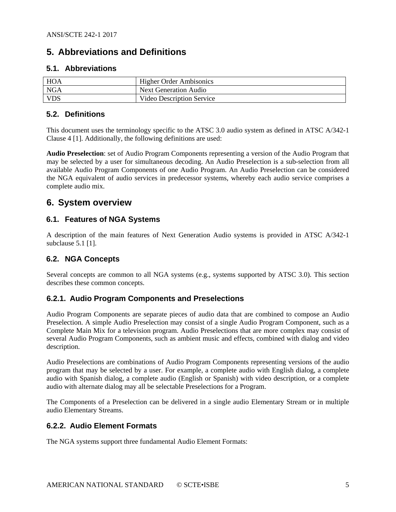# <span id="page-4-0"></span>**5. Abbreviations and Definitions**

#### <span id="page-4-1"></span>**5.1. Abbreviations**

| HOA        | <b>Higher Order Ambisonics</b> |
|------------|--------------------------------|
| NGA        | <b>Next Generation Audio</b>   |
| <b>VDS</b> | Video Description Service      |

#### <span id="page-4-2"></span>**5.2. Definitions**

This document uses the terminology specific to the ATSC 3.0 audio system as defined in ATSC A/342-1 Clause 4 [\[1\]](#page-3-5). Additionally, the following definitions are used:

**Audio Preselection**: set of Audio Program Components representing a version of the Audio Program that may be selected by a user for simultaneous decoding. An Audio Preselection is a sub-selection from all available Audio Program Components of one Audio Program. An Audio Preselection can be considered the NGA equivalent of audio services in predecessor systems, whereby each audio service comprises a complete audio mix.

## <span id="page-4-3"></span>**6. System overview**

#### <span id="page-4-4"></span>**6.1. Features of NGA Systems**

A description of the main features of Next Generation Audio systems is provided in ATSC A/342-1 subclause 5.1 [\[1\]](#page-3-5).

#### <span id="page-4-5"></span>**6.2. NGA Concepts**

Several concepts are common to all NGA systems (e.g., systems supported by ATSC 3.0). This section describes these common concepts.

#### <span id="page-4-6"></span>**6.2.1. Audio Program Components and Preselections**

Audio Program Components are separate pieces of audio data that are combined to compose an Audio Preselection. A simple Audio Preselection may consist of a single Audio Program Component, such as a Complete Main Mix for a television program. Audio Preselections that are more complex may consist of several Audio Program Components, such as ambient music and effects, combined with dialog and video description.

Audio Preselections are combinations of Audio Program Components representing versions of the audio program that may be selected by a user. For example, a complete audio with English dialog, a complete audio with Spanish dialog, a complete audio (English or Spanish) with video description, or a complete audio with alternate dialog may all be selectable Preselections for a Program.

The Components of a Preselection can be delivered in a single audio Elementary Stream or in multiple audio Elementary Streams.

#### <span id="page-4-7"></span>**6.2.2. Audio Element Formats**

The NGA systems support three fundamental Audio Element Formats: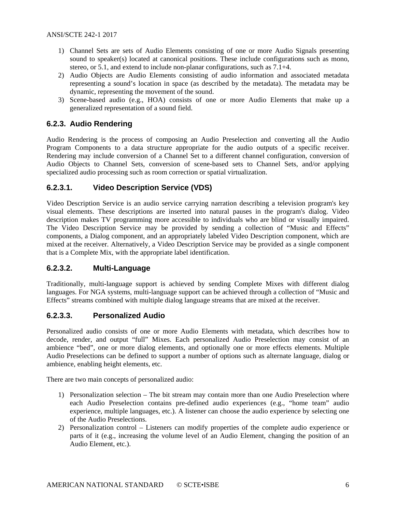- 1) Channel Sets are sets of Audio Elements consisting of one or more Audio Signals presenting sound to speaker(s) located at canonical positions. These include configurations such as mono, stereo, or 5.1, and extend to include non-planar configurations, such as 7.1+4.
- 2) Audio Objects are Audio Elements consisting of audio information and associated metadata representing a sound's location in space (as described by the metadata). The metadata may be dynamic, representing the movement of the sound.
- 3) Scene-based audio (e.g., HOA) consists of one or more Audio Elements that make up a generalized representation of a sound field.

#### <span id="page-5-0"></span>**6.2.3. Audio Rendering**

Audio Rendering is the process of composing an Audio Preselection and converting all the Audio Program Components to a data structure appropriate for the audio outputs of a specific receiver. Rendering may include conversion of a Channel Set to a different channel configuration, conversion of Audio Objects to Channel Sets, conversion of scene-based sets to Channel Sets, and/or applying specialized audio processing such as room correction or spatial virtualization.

#### **6.2.3.1. Video Description Service (VDS)**

Video Description Service is an audio service carrying narration describing a television program's key visual elements. These descriptions are inserted into natural pauses in the program's dialog. Video description makes TV programming more accessible to individuals who are blind or visually impaired. The Video Description Service may be provided by sending a collection of "Music and Effects" components, a Dialog component, and an appropriately labeled Video Description component, which are mixed at the receiver. Alternatively, a Video Description Service may be provided as a single component that is a Complete Mix, with the appropriate label identification.

#### **6.2.3.2. Multi-Language**

Traditionally, multi-language support is achieved by sending Complete Mixes with different dialog languages. For NGA systems, multi-language support can be achieved through a collection of "Music and" Effects" streams combined with multiple dialog language streams that are mixed at the receiver.

#### **6.2.3.3. Personalized Audio**

Personalized audio consists of one or more Audio Elements with metadata, which describes how to decode, render, and output "full" Mixes. Each personalized Audio Preselection may consist of an ambience "bed", one or more dialog elements, and optionally one or more effects elements. Multiple Audio Preselections can be defined to support a number of options such as alternate language, dialog or ambience, enabling height elements, etc.

There are two main concepts of personalized audio:

- 1) Personalization selection The bit stream may contain more than one Audio Preselection where each Audio Preselection contains pre-defined audio experiences (e.g., "home team" audio experience, multiple languages, etc.). A listener can choose the audio experience by selecting one of the Audio Preselections.
- 2) Personalization control Listeners can modify properties of the complete audio experience or parts of it (e.g., increasing the volume level of an Audio Element, changing the position of an Audio Element, etc.).